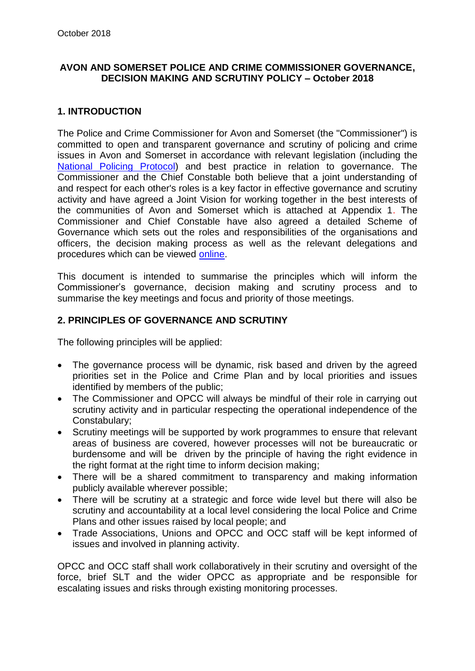# **AVON AND SOMERSET POLICE AND CRIME COMMISSIONER GOVERNANCE, DECISION MAKING AND SCRUTINY POLICY – October 2018**

# **1. INTRODUCTION**

The Police and Crime Commissioner for Avon and Somerset (the "Commissioner") is committed to open and transparent governance and scrutiny of policing and crime issues in Avon and Somerset in accordance with relevant legislation (including the [National Policing Protocol\)](https://www.gov.uk/government/publications/policing-protocol-order-2011-statutory-instrument) and best practice in relation to governance. The Commissioner and the Chief Constable both believe that a joint understanding of and respect for each other's roles is a key factor in effective governance and scrutiny activity and have agreed a Joint Vision for working together in the best interests of the communities of Avon and Somerset which is attached at Appendix 1. The Commissioner and Chief Constable have also agreed a detailed Scheme of Governance which sets out the roles and responsibilities of the organisations and officers, the decision making process as well as the relevant delegations and procedures which can be viewed [online.](http://www.avonandsomerset-pcc.gov.uk/Document-Library/TERM-ONE/Decisions/2014-011-Signed-Governance-Framework.pdf)

This document is intended to summarise the principles which will inform the Commissioner's governance, decision making and scrutiny process and to summarise the key meetings and focus and priority of those meetings.

# **2. PRINCIPLES OF GOVERNANCE AND SCRUTINY**

The following principles will be applied:

- The governance process will be dynamic, risk based and driven by the agreed priorities set in the Police and Crime Plan and by local priorities and issues identified by members of the public;
- The Commissioner and OPCC will always be mindful of their role in carrying out scrutiny activity and in particular respecting the operational independence of the Constabulary;
- Scrutiny meetings will be supported by work programmes to ensure that relevant areas of business are covered, however processes will not be bureaucratic or burdensome and will be driven by the principle of having the right evidence in the right format at the right time to inform decision making;
- There will be a shared commitment to transparency and making information publicly available wherever possible;
- There will be scrutiny at a strategic and force wide level but there will also be scrutiny and accountability at a local level considering the local Police and Crime Plans and other issues raised by local people; and
- Trade Associations, Unions and OPCC and OCC staff will be kept informed of issues and involved in planning activity.

OPCC and OCC staff shall work collaboratively in their scrutiny and oversight of the force, brief SLT and the wider OPCC as appropriate and be responsible for escalating issues and risks through existing monitoring processes.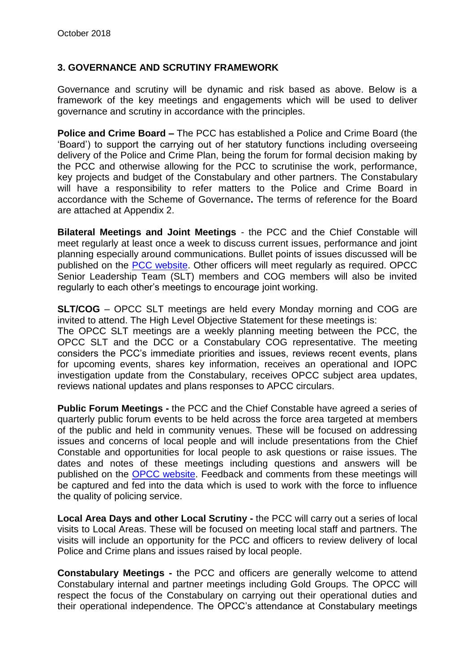# **3. GOVERNANCE AND SCRUTINY FRAMEWORK**

Governance and scrutiny will be dynamic and risk based as above. Below is a framework of the key meetings and engagements which will be used to deliver governance and scrutiny in accordance with the principles.

**Police and Crime Board –** The PCC has established a Police and Crime Board (the 'Board') to support the carrying out of her statutory functions including overseeing delivery of the Police and Crime Plan, being the forum for formal decision making by the PCC and otherwise allowing for the PCC to scrutinise the work, performance, key projects and budget of the Constabulary and other partners. The Constabulary will have a responsibility to refer matters to the Police and Crime Board in accordance with the Scheme of Governance**.** The terms of reference for the Board are attached at Appendix 2.

**Bilateral Meetings and Joint Meetings** - the PCC and the Chief Constable will meet regularly at least once a week to discuss current issues, performance and joint planning especially around communications. Bullet points of issues discussed will be published on the [PCC website.](http://www.avonandsomerset-pcc.gov.uk/Openness/Reports-and-meetings/PCCChief-Constable-1-2-1-Updates.aspx) Other officers will meet regularly as required. OPCC Senior Leadership Team (SLT) members and COG members will also be invited regularly to each other's meetings to encourage joint working.

**SLT/COG** – OPCC SLT meetings are held every Monday morning and COG are invited to attend. The High Level Objective Statement for these meetings is: The OPCC SLT meetings are a weekly planning meeting between the PCC, the OPCC SLT and the DCC or a Constabulary COG representative. The meeting considers the PCC's immediate priorities and issues, reviews recent events, plans for upcoming events, shares key information, receives an operational and IOPC investigation update from the Constabulary, receives OPCC subject area updates, reviews national updates and plans responses to APCC circulars.

**Public Forum Meetings -** the PCC and the Chief Constable have agreed a series of quarterly public forum events to be held across the force area targeted at members of the public and held in community venues. These will be focused on addressing issues and concerns of local people and will include presentations from the Chief Constable and opportunities for local people to ask questions or raise issues. The dates and notes of these meetings including questions and answers will be published on the [OPCC website.](http://www.avonandsomerset-pcc.gov.uk/Take-Part/Forums.aspx) Feedback and comments from these meetings will be captured and fed into the data which is used to work with the force to influence the quality of policing service.

**Local Area Days and other Local Scrutiny -** the PCC will carry out a series of local visits to Local Areas. These will be focused on meeting local staff and partners. The visits will include an opportunity for the PCC and officers to review delivery of local Police and Crime plans and issues raised by local people.

**Constabulary Meetings -** the PCC and officers are generally welcome to attend Constabulary internal and partner meetings including Gold Groups. The OPCC will respect the focus of the Constabulary on carrying out their operational duties and their operational independence. The OPCC's attendance at Constabulary meetings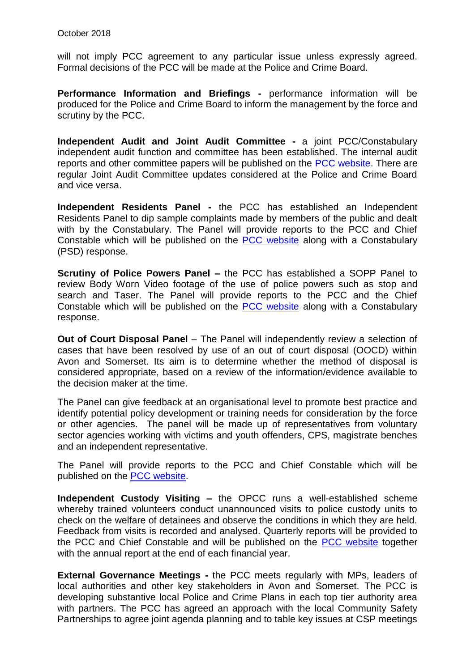will not imply PCC agreement to any particular issue unless expressly agreed. Formal decisions of the PCC will be made at the Police and Crime Board.

**Performance Information and Briefings -** performance information will be produced for the Police and Crime Board to inform the management by the force and scrutiny by the PCC.

**Independent Audit and Joint Audit Committee -** a joint PCC/Constabulary independent audit function and committee has been established. The internal audit reports and other committee papers will be published on the [PCC website.](http://www.avonandsomerset-pcc.gov.uk/Openness/Audit-Committee/Audit-Committee.aspx) There are regular Joint Audit Committee updates considered at the Police and Crime Board and vice versa.

**Independent Residents Panel -** the PCC has established an Independent Residents Panel to dip sample complaints made by members of the public and dealt with by the Constabulary. The Panel will provide reports to the PCC and Chief Constable which will be published on the [PCC website](http://www.avonandsomerset-pcc.gov.uk/Take-Part/Independent-Residents-Panel.aspx) along with a Constabulary (PSD) response.

**Scrutiny of Police Powers Panel –** the PCC has established a SOPP Panel to review Body Worn Video footage of the use of police powers such as stop and search and Taser. The Panel will provide reports to the PCC and the Chief Constable which will be published on the [PCC website](https://www.avonandsomerset-pcc.gov.uk/Openness/Scrutiny/Scrutiny-of-Police-Powers-Panel-Reports.aspx) along with a Constabulary response.

**Out of Court Disposal Panel** – The Panel will independently review a selection of cases that have been resolved by use of an out of court disposal (OOCD) within Avon and Somerset. Its aim is to determine whether the method of disposal is considered appropriate, based on a review of the information/evidence available to the decision maker at the time.

The Panel can give feedback at an organisational level to promote best practice and identify potential policy development or training needs for consideration by the force or other agencies. The panel will be made up of representatives from voluntary sector agencies working with victims and youth offenders, CPS, magistrate benches and an independent representative.

The Panel will provide reports to the PCC and Chief Constable which will be published on the [PCC website.](http://www.avonandsomerset-pcc.gov.uk/Take-Part/Out-of-Court-Disposal-Scrutiny-Panel.aspx)

**Independent Custody Visiting –** the OPCC runs a well-established scheme whereby trained volunteers conduct unannounced visits to police custody units to check on the welfare of detainees and observe the conditions in which they are held. Feedback from visits is recorded and analysed. Quarterly reports will be provided to the PCC and Chief Constable and will be published on the [PCC website](http://www.avonandsomerset-pcc.gov.uk/Take-Part/Custody-Visiting.aspx) together with the annual report at the end of each financial year.

**External Governance Meetings -** the PCC meets regularly with MPs, leaders of local authorities and other key stakeholders in Avon and Somerset. The PCC is developing substantive local Police and Crime Plans in each top tier authority area with partners. The PCC has agreed an approach with the local Community Safety Partnerships to agree joint agenda planning and to table key issues at CSP meetings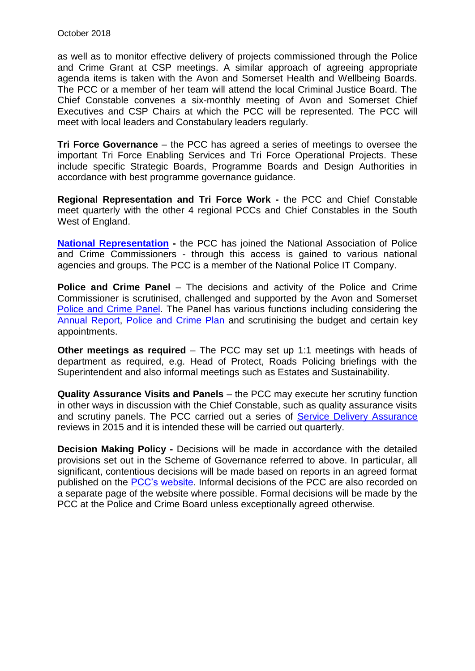as well as to monitor effective delivery of projects commissioned through the Police and Crime Grant at CSP meetings. A similar approach of agreeing appropriate agenda items is taken with the Avon and Somerset Health and Wellbeing Boards. The PCC or a member of her team will attend the local Criminal Justice Board. The Chief Constable convenes a six-monthly meeting of Avon and Somerset Chief Executives and CSP Chairs at which the PCC will be represented. The PCC will meet with local leaders and Constabulary leaders regularly.

**Tri Force Governance** – the PCC has agreed a series of meetings to oversee the important Tri Force Enabling Services and Tri Force Operational Projects. These include specific Strategic Boards, Programme Boards and Design Authorities in accordance with best programme governance guidance.

**Regional Representation and Tri Force Work -** the PCC and Chief Constable meet quarterly with the other 4 regional PCCs and Chief Constables in the South West of England.

**[National Representation](http://www.avonandsomerset-pcc.gov.uk/ARCHIVE-2012-April-2016/Your-PCC-2012-April-2016/About-the-PCC/National-groups-and-meetings.aspx) -** the PCC has joined the National Association of Police and Crime Commissioners - through this access is gained to various national agencies and groups. The PCC is a member of the National Police IT Company.

**Police and Crime Panel** – The decisions and activity of the Police and Crime Commissioner is scrutinised, challenged and supported by the Avon and Somerset [Police and Crime Panel.](https://www.bristol.gov.uk/council-meetings/avon-and-somerset-police-and-crime-panel) The Panel has various functions including considering the [Annual Report,](http://www.avonandsomerset-pcc.gov.uk/Openness/Reports-and-meetings/Annual-Report.aspx) [Police and Crime Plan](http://www.avonandsomerset-pcc.gov.uk/Your-PCC/Police-Crime-Plan-2015-2017.aspx) and scrutinising the budget and certain key appointments.

**Other meetings as required** – The PCC may set up 1:1 meetings with heads of department as required, e.g. Head of Protect, Roads Policing briefings with the Superintendent and also informal meetings such as Estates and Sustainability.

**Quality Assurance Visits and Panels** – the PCC may execute her scrutiny function in other ways in discussion with the Chief Constable, such as quality assurance visits and scrutiny panels. The PCC carried out a series of [Service Delivery Assurance](http://www.avonandsomerset-pcc.gov.uk/Openness/Service-Delivery-Assurance.aspx) reviews in 2015 and it is intended these will be carried out quarterly.

**Decision Making Policy -** Decisions will be made in accordance with the detailed provisions set out in the Scheme of Governance referred to above. In particular, all significant, contentious decisions will be made based on reports in an agreed format published on the [PCC's website.](http://www.avonandsomerset-pcc.gov.uk/Openness/Decisions.aspx) Informal decisions of the PCC are also recorded on a separate page of the website where possible. Formal decisions will be made by the PCC at the Police and Crime Board unless exceptionally agreed otherwise.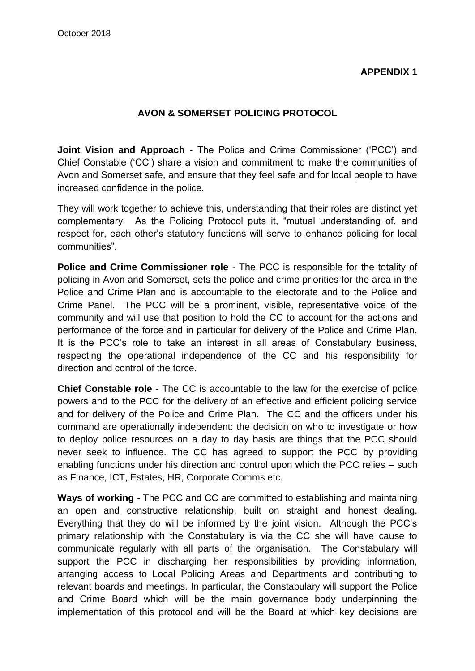#### **APPENDIX 1**

# **AVON & SOMERSET POLICING PROTOCOL**

**Joint Vision and Approach** - The Police and Crime Commissioner ('PCC') and Chief Constable ('CC') share a vision and commitment to make the communities of Avon and Somerset safe, and ensure that they feel safe and for local people to have increased confidence in the police.

They will work together to achieve this, understanding that their roles are distinct yet complementary. As the Policing Protocol puts it, "mutual understanding of, and respect for, each other's statutory functions will serve to enhance policing for local communities".

**Police and Crime Commissioner role** - The PCC is responsible for the totality of policing in Avon and Somerset, sets the police and crime priorities for the area in the Police and Crime Plan and is accountable to the electorate and to the Police and Crime Panel. The PCC will be a prominent, visible, representative voice of the community and will use that position to hold the CC to account for the actions and performance of the force and in particular for delivery of the Police and Crime Plan. It is the PCC's role to take an interest in all areas of Constabulary business, respecting the operational independence of the CC and his responsibility for direction and control of the force.

**Chief Constable role** - The CC is accountable to the law for the exercise of police powers and to the PCC for the delivery of an effective and efficient policing service and for delivery of the Police and Crime Plan. The CC and the officers under his command are operationally independent: the decision on who to investigate or how to deploy police resources on a day to day basis are things that the PCC should never seek to influence. The CC has agreed to support the PCC by providing enabling functions under his direction and control upon which the PCC relies – such as Finance, ICT, Estates, HR, Corporate Comms etc.

**Ways of working** - The PCC and CC are committed to establishing and maintaining an open and constructive relationship, built on straight and honest dealing. Everything that they do will be informed by the joint vision. Although the PCC's primary relationship with the Constabulary is via the CC she will have cause to communicate regularly with all parts of the organisation. The Constabulary will support the PCC in discharging her responsibilities by providing information, arranging access to Local Policing Areas and Departments and contributing to relevant boards and meetings. In particular, the Constabulary will support the Police and Crime Board which will be the main governance body underpinning the implementation of this protocol and will be the Board at which key decisions are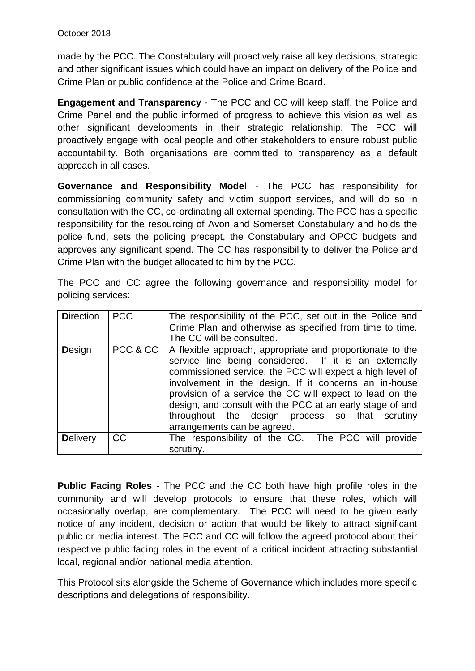made by the PCC. The Constabulary will proactively raise all key decisions, strategic and other significant issues which could have an impact on delivery of the Police and Crime Plan or public confidence at the Police and Crime Board.

**Engagement and Transparency** - The PCC and CC will keep staff, the Police and Crime Panel and the public informed of progress to achieve this vision as well as other significant developments in their strategic relationship. The PCC will proactively engage with local people and other stakeholders to ensure robust public accountability. Both organisations are committed to transparency as a default approach in all cases.

**Governance and Responsibility Model** - The PCC has responsibility for commissioning community safety and victim support services, and will do so in consultation with the CC, co-ordinating all external spending. The PCC has a specific responsibility for the resourcing of Avon and Somerset Constabulary and holds the police fund, sets the policing precept, the Constabulary and OPCC budgets and approves any significant spend. The CC has responsibility to deliver the Police and Crime Plan with the budget allocated to him by the PCC.

The PCC and CC agree the following governance and responsibility model for policing services:

| <b>Direction</b> | PCC       | The responsibility of the PCC, set out in the Police and<br>Crime Plan and otherwise as specified from time to time.<br>The CC will be consulted.                                                                                                                                                                                                                                                                                                             |
|------------------|-----------|---------------------------------------------------------------------------------------------------------------------------------------------------------------------------------------------------------------------------------------------------------------------------------------------------------------------------------------------------------------------------------------------------------------------------------------------------------------|
| <b>Design</b>    |           | PCC & CC   A flexible approach, appropriate and proportionate to the<br>service line being considered. If it is an externally<br>commissioned service, the PCC will expect a high level of<br>involvement in the design. If it concerns an in-house<br>provision of a service the CC will expect to lead on the<br>design, and consult with the PCC at an early stage of and<br>throughout the design process so that scrutiny<br>arrangements can be agreed. |
| <b>Delivery</b>  | <b>CC</b> | The responsibility of the CC. The PCC will provide<br>scrutiny.                                                                                                                                                                                                                                                                                                                                                                                               |

**Public Facing Roles** - The PCC and the CC both have high profile roles in the community and will develop protocols to ensure that these roles, which will occasionally overlap, are complementary. The PCC will need to be given early notice of any incident, decision or action that would be likely to attract significant public or media interest. The PCC and CC will follow the agreed protocol about their respective public facing roles in the event of a critical incident attracting substantial local, regional and/or national media attention.

This Protocol sits alongside the Scheme of Governance which includes more specific descriptions and delegations of responsibility.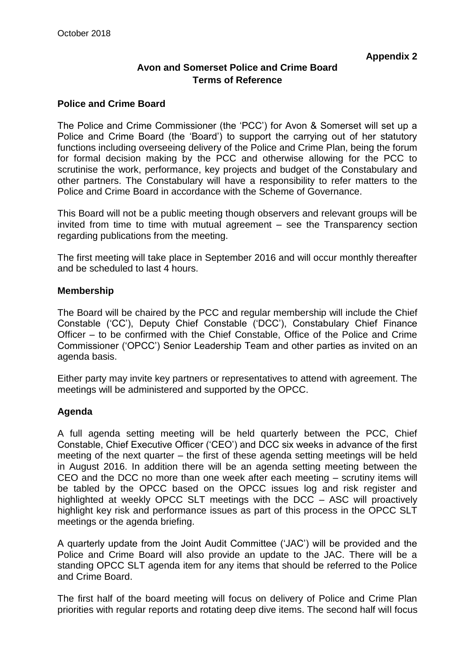# **Avon and Somerset Police and Crime Board Terms of Reference**

#### **Police and Crime Board**

The Police and Crime Commissioner (the 'PCC') for Avon & Somerset will set up a Police and Crime Board (the 'Board') to support the carrying out of her statutory functions including overseeing delivery of the Police and Crime Plan, being the forum for formal decision making by the PCC and otherwise allowing for the PCC to scrutinise the work, performance, key projects and budget of the Constabulary and other partners. The Constabulary will have a responsibility to refer matters to the Police and Crime Board in accordance with the Scheme of Governance.

This Board will not be a public meeting though observers and relevant groups will be invited from time to time with mutual agreement – see the Transparency section regarding publications from the meeting.

The first meeting will take place in September 2016 and will occur monthly thereafter and be scheduled to last 4 hours.

#### **Membership**

The Board will be chaired by the PCC and regular membership will include the Chief Constable ('CC'), Deputy Chief Constable ('DCC'), Constabulary Chief Finance Officer – to be confirmed with the Chief Constable, Office of the Police and Crime Commissioner ('OPCC') Senior Leadership Team and other parties as invited on an agenda basis.

Either party may invite key partners or representatives to attend with agreement. The meetings will be administered and supported by the OPCC.

#### **Agenda**

A full agenda setting meeting will be held quarterly between the PCC, Chief Constable, Chief Executive Officer ('CEO') and DCC six weeks in advance of the first meeting of the next quarter – the first of these agenda setting meetings will be held in August 2016. In addition there will be an agenda setting meeting between the CEO and the DCC no more than one week after each meeting – scrutiny items will be tabled by the OPCC based on the OPCC issues log and risk register and highlighted at weekly OPCC SLT meetings with the DCC – ASC will proactively highlight key risk and performance issues as part of this process in the OPCC SLT meetings or the agenda briefing.

A quarterly update from the Joint Audit Committee ('JAC') will be provided and the Police and Crime Board will also provide an update to the JAC. There will be a standing OPCC SLT agenda item for any items that should be referred to the Police and Crime Board.

The first half of the board meeting will focus on delivery of Police and Crime Plan priorities with regular reports and rotating deep dive items. The second half will focus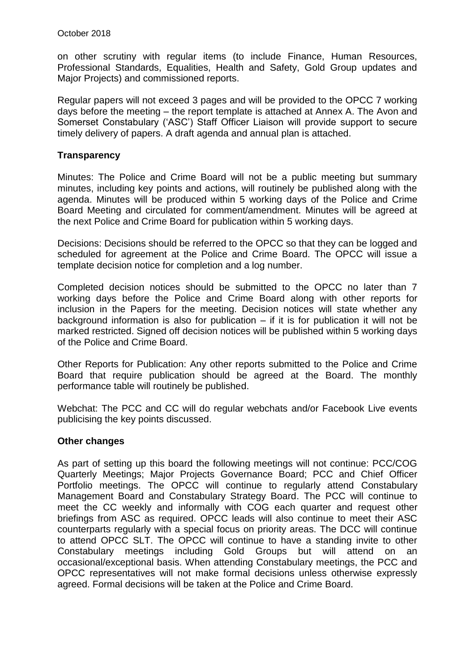on other scrutiny with regular items (to include Finance, Human Resources, Professional Standards, Equalities, Health and Safety, Gold Group updates and Major Projects) and commissioned reports.

Regular papers will not exceed 3 pages and will be provided to the OPCC 7 working days before the meeting – the report template is attached at Annex A. The Avon and Somerset Constabulary ('ASC') Staff Officer Liaison will provide support to secure timely delivery of papers. A draft agenda and annual plan is attached.

#### **Transparency**

Minutes: The Police and Crime Board will not be a public meeting but summary minutes, including key points and actions, will routinely be published along with the agenda. Minutes will be produced within 5 working days of the Police and Crime Board Meeting and circulated for comment/amendment. Minutes will be agreed at the next Police and Crime Board for publication within 5 working days.

Decisions: Decisions should be referred to the OPCC so that they can be logged and scheduled for agreement at the Police and Crime Board. The OPCC will issue a template decision notice for completion and a log number.

Completed decision notices should be submitted to the OPCC no later than 7 working days before the Police and Crime Board along with other reports for inclusion in the Papers for the meeting. Decision notices will state whether any background information is also for publication – if it is for publication it will not be marked restricted. Signed off decision notices will be published within 5 working days of the Police and Crime Board.

Other Reports for Publication: Any other reports submitted to the Police and Crime Board that require publication should be agreed at the Board. The monthly performance table will routinely be published.

Webchat: The PCC and CC will do regular webchats and/or Facebook Live events publicising the key points discussed.

#### **Other changes**

As part of setting up this board the following meetings will not continue: PCC/COG Quarterly Meetings; Major Projects Governance Board; PCC and Chief Officer Portfolio meetings. The OPCC will continue to regularly attend Constabulary Management Board and Constabulary Strategy Board. The PCC will continue to meet the CC weekly and informally with COG each quarter and request other briefings from ASC as required. OPCC leads will also continue to meet their ASC counterparts regularly with a special focus on priority areas. The DCC will continue to attend OPCC SLT. The OPCC will continue to have a standing invite to other Constabulary meetings including Gold Groups but will attend on an occasional/exceptional basis. When attending Constabulary meetings, the PCC and OPCC representatives will not make formal decisions unless otherwise expressly agreed. Formal decisions will be taken at the Police and Crime Board.